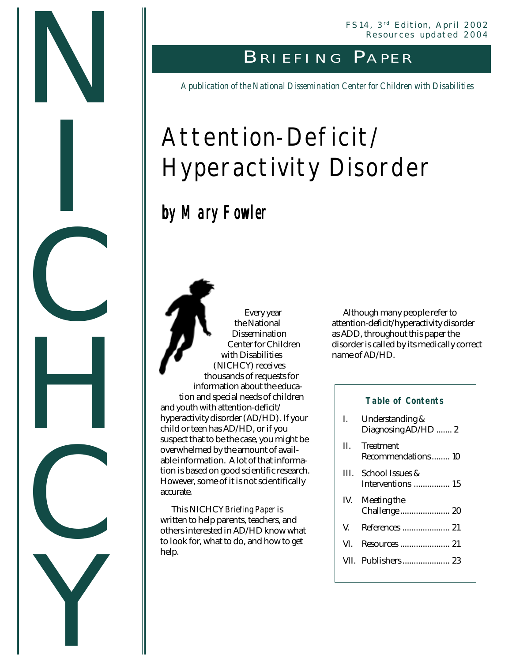

# BRIEFING PAPER

*A publication of the National Dissemination Center for Children with Disabilities*

# Attention-Deficit/ Hyperactivity Disorder

*by Mary Fowler*

Every year the National Dissemination Center for Children with Disabilities (NICHCY) receives thousands of requests for information about the education and special needs of children and youth with attention-deficit/ hyperactivity disorder (AD/HD). If your child or teen has AD/HD, or if you suspect that to be the case, you might be overwhelmed by the amount of available information. A lot of that information is based on good scientific research. However, some of it is not scientifically accurate.

This NICHCY *Briefing Paper* is written to help parents, teachers, and others interested in AD/HD know what to look for, what to do, and how to get help.

Although many people refer to attention-deficit/hyperactivity disorder as ADD, throughout this paper the disorder is called by its medically correct name of AD/HD.

# **Table of Contents**

| I. | Understanding &<br>Diagnosing AD/HD  2    |
|----|-------------------------------------------|
|    | II. Treatment<br>Recommendations 10       |
|    | III. School Issues &<br>Interventions  15 |
|    | IV. Meeting the                           |
|    |                                           |
|    |                                           |
|    | <b>VII.</b> Publishers  23                |
|    |                                           |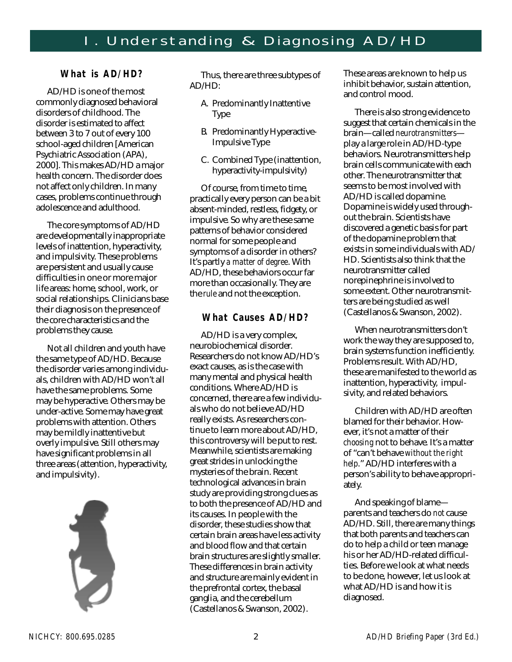# I. Understanding & Diagnosing AD/HD

### **What is AD/HD?**

AD/HD is one of the most commonly diagnosed behavioral disorders of childhood. The disorder is estimated to affect between 3 to 7 out of every 100 school-aged children [American Psychiatric Association (APA), 2000]. This makes AD/HD a major health concern. The disorder does not affect only children. In many cases, problems continue through adolescence and adulthood.

The core symptoms of AD/HD are developmentally inappropriate levels of inattention, hyperactivity, and impulsivity. These problems are persistent and usually cause difficulties in one or more major life areas: home, school, work, or social relationships. Clinicians base their diagnosis on the presence of the core characteristics and the problems they cause.

Not all children and youth have the same type of AD/HD. Because the disorder varies among individuals, children with AD/HD won't all have the same problems. Some may be hyperactive. Others may be under-active. Some may have great problems with attention. Others may be mildly inattentive but overly impulsive. Still others may have significant problems in all three areas (attention, hyperactivity, and impulsivity).



Thus, there are three subtypes of AD/HD:

- A. Predominantly Inattentive Type
- B. Predominantly Hyperactive-Impulsive Type
- C. Combined Type (inattention, hyperactivity-impulsivity)

Of course, from time to time, practically every person can be a bit absent-minded, restless, fidgety, or impulsive. So why are these same patterns of behavior considered normal for some people and symptoms of a disorder in others? It's partly *a matter of degree*. With AD/HD, these behaviors occur far more than occasionally. They are the *rule* and not the exception.

### **What Causes AD/HD?**

AD/HD is a very complex, neurobiochemical disorder. Researchers do not know AD/HD's exact causes, as is the case with many mental and physical health conditions. Where AD/HD is concerned, there are a few individuals who do not believe AD/HD really exists. As researchers continue to learn more about AD/HD, this controversy will be put to rest. Meanwhile, scientists are making great strides in unlocking the mysteries of the brain. Recent technological advances in brain study are providing strong clues as to both the presence of AD/HD and its causes. In people with the disorder, these studies show that certain brain areas have less activity and blood flow and that certain brain structures are slightly smaller. These differences in brain activity and structure are mainly evident in the prefrontal cortex, the basal ganglia, and the cerebellum (Castellanos & Swanson, 2002).

These areas are known to help us inhibit behavior, sustain attention, and control mood.

There is also strong evidence to suggest that certain chemicals in the brain—called *neurotransmitters* play a large role in AD/HD-type behaviors. Neurotransmitters help brain cells communicate with each other. The neurotransmitter that seems to be most involved with AD/HD is called dopamine. Dopamine is widely used throughout the brain. Scientists have discovered a genetic basis for part of the dopamine problem that exists in some individuals with AD/ HD. Scientists also think that the neurotransmitter called norepinephrine is involved to some extent. Other neurotransmitters are being studied as well (Castellanos & Swanson, 2002).

When neurotransmitters don't work the way they are supposed to, brain systems function inefficiently. Problems result. With AD/HD, these are manifested to the world as inattention, hyperactivity, impulsivity, and related behaviors.

Children with AD/HD are often blamed for their behavior. However, it's not a matter of their *choosing* not to behave. It's a matter of "can't behave *without the right help*." AD/HD interferes with a person's ability to behave appropriately.

And speaking of blame parents and teachers do *not* cause AD/HD. Still, there are many things that both parents and teachers can do to help a child or teen manage his or her AD/HD-related difficulties. Before we look at what needs to be done, however, let us look at what AD/HD is and how it is diagnosed.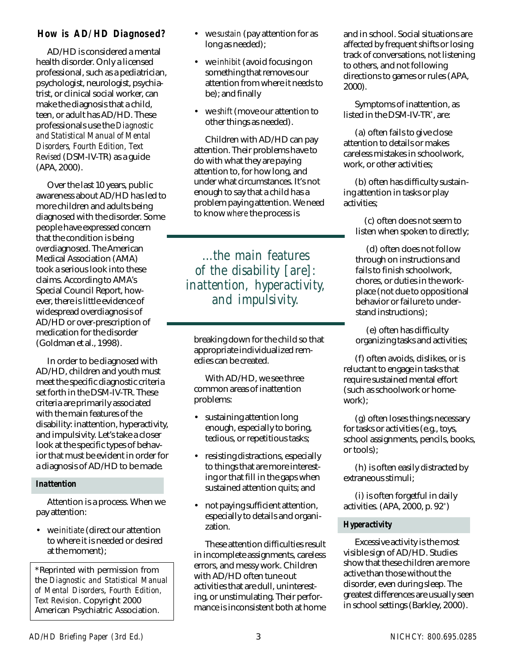# **How is AD/HD Diagnosed?**

AD/HD is considered a mental health disorder. Only a licensed professional, such as a pediatrician, psychologist, neurologist, psychiatrist, or clinical social worker, can make the diagnosis that a child, teen, or adult has AD/HD. These professionals use the *Diagnostic and Statistical Manual of Mental Disorders, Fourth Edition, Text Revised* (DSM-IV-TR) as a guide (APA, 2000).

Over the last 10 years, public awareness about AD/HD has led to more children and adults being diagnosed with the disorder. Some people have expressed concern that the condition is being *over*diagnosed. The American Medical Association (AMA) took a serious look into these claims. According to AMA's Special Council Report, however, there is little evidence of widespread overdiagnosis of AD/HD or over-prescription of medication for the disorder (Goldman et al., 1998).

In order to be diagnosed with AD/HD, children and youth must meet the specific diagnostic criteria set forth in the DSM-IV-TR. These criteria are primarily associated with the main features of the disability: inattention, hyperactivity, and impulsivity. Let's take a closer look at the specific types of behavior that must be evident in order for a diagnosis of AD/HD to be made.

### *Inattention*

Attention is a process. When we pay attention:

• we *initiate* (direct our attention to where it is needed or desired at the moment);

\*Reprinted with permission from the *Diagnostic and Statistical Manual of Mental Disorders*, *Fourth Edition, Text Revision*. Copyright 2000 American Psychiatric Association.

- we *sustain* (pay attention for as long as needed);
- we *inhibit* (avoid focusing on something that removes our attention from where it needs to be); and finally
- we *shift* (move our attention to other things as needed).

Children with AD/HD can pay attention. Their problems have to do with what they are paying attention to, for how long, and under what circumstances. It's not enough to say that a child has a problem paying attention. We need to know *where* the process is

*...the main features of the disability [are]: inattention, hyperactivity, and impulsivity.*

breaking down for the child so that appropriate individualized remedies can be created.

With AD/HD, we see three common areas of inattention problems:

- sustaining attention long enough, especially to boring, tedious, or repetitious tasks;
- resisting distractions, especially to things that are more interesting or that fill in the gaps when sustained attention quits; and
- not paying sufficient attention, especially to details and organization.

These attention difficulties result in incomplete assignments, careless errors, and messy work. Children with AD/HD often tune out activities that are dull, uninteresting, or unstimulating. Their performance is inconsistent both at home and in school. Social situations are affected by frequent shifts or losing track of conversations, not listening to others, and not following directions to games or rules (APA, 2000).

Symptoms of inattention, as listed in the DSM-IV-TR\* , are:

(a) often fails to give close attention to details or makes careless mistakes in schoolwork, work, or other activities;

(b) often has difficulty sustaining attention in tasks or play activities;

(c) often does not seem to listen when spoken to directly;

(d) often does not follow through on instructions and fails to finish schoolwork, chores, or duties in the workplace (not due to oppositional behavior or failure to understand instructions);

(e) often has difficulty organizing tasks and activities;

(f) often avoids, dislikes, or is reluctant to engage in tasks that require sustained mental effort (such as schoolwork or homework);

(g) often loses things necessary for tasks or activities (e.g., toys, school assignments, pencils, books, or tools);

(h) is often easily distracted by extraneous stimuli;

(i) is often forgetful in daily activities. (APA, 2000, p. 92\* )

### *Hyperactivity*

Excessive activity is the most visible sign of AD/HD. Studies show that these children are more active than those without the disorder, even during sleep. The greatest differences are usually seen in school settings (Barkley, 2000).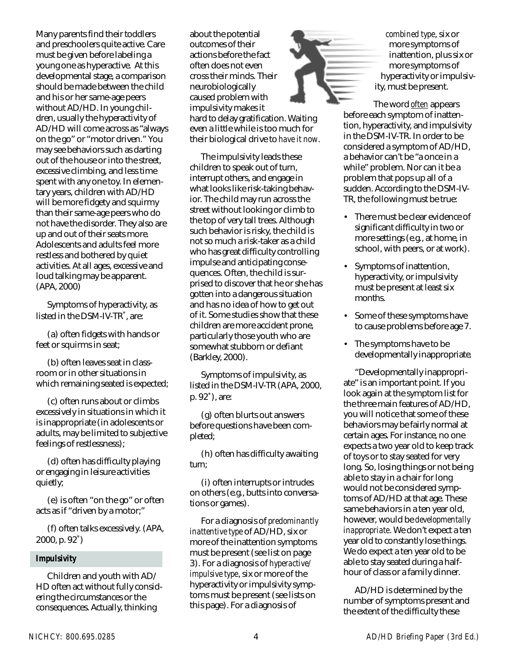Many parents find their toddlers and preschoolers quite active. Care must be given before labeling a young one as hyperactive. At this developmental stage, a comparison should be made between the child and his or her same-age peers without AD/HD. In young children, usually the hyperactivity of AD/HD will come across as "always on the go" or "motor driven." You may see behaviors such as darting out of the house or into the street, excessive climbing, and less time spent with any one toy. In elementary years, children with AD/HD will be more fidgety and squirmy than their same-age peers who do not have the disorder. They also are up and out of their seats more. Adolescents and adults feel more restless and bothered by quiet activities. At all ages, excessive and loud talking may be apparent. (APA, 2000)

Symptoms of hyperactivity, as listed in the DSM-IV-TR\* , are:

(a) often fidgets with hands or feet or squirms in seat;

(b) often leaves seat in classroom or in other situations in which remaining seated is expected;

(c) often runs about or climbs excessively in situations in which it is inappropriate (in adolescents or adults, may be limited to subjective feelings of restlessness);

(d) often has difficulty playing or engaging in leisure activities quietly;

(e) is often "on the go" or often acts as if "driven by a motor;"

(f) often talks excessively. (APA, 2000, p. 92\* )

### *Impulsivity*

Children and youth with AD/ HD often act without fully considering the circumstances or the consequences. Actually, thinking

about the potential outcomes of their actions before the fact often does not even cross their minds. Their neurobiologically caused problem with impulsivity makes it hard to delay gratification. Waiting even a little while is too much for their biological drive to *have it now*.

The impulsivity leads these children to speak out of turn, interrupt others, and engage in what looks like risk-taking behavior. The child may run across the street without looking or climb to the top of very tall trees. Although such behavior is risky, the child is not so much a risk-taker as a child who has great difficulty controlling impulse and anticipating consequences. Often, the child is surprised to discover that he or she has gotten into a dangerous situation and has no idea of how to get out of it. Some studies show that these children are more accident prone, particularly those youth who are somewhat stubborn or defiant (Barkley, 2000).

Symptoms of impulsivity, as listed in the DSM-IV-TR (APA, 2000, p. 92\* ), are:

(g) often blurts out answers before questions have been completed;

(h) often has difficulty awaiting turn;

(i) often interrupts or intrudes on others (e.g., butts into conversations or games).

For a diagnosis of *predominantly inattentive type* of AD/HD, six or more of the inattention symptoms must be present (see list on page 3). For a diagnosis of *hyperactive/ impulsive type*, six or more of the hyperactivity or impulsivity symptoms must be present (see lists on this page). For a diagnosis of



*combined type*, six or more symptoms of inattention, plus six or more symptoms of hyperactivity or impulsivity, must be present.

The word *often* appears before each symptom of inattention, hyperactivity, and impulsivity in the DSM-IV-TR. In order to be considered a symptom of AD/HD, a behavior can't be "a once in a while" problem. Nor can it be a problem that pops up all of a sudden. According to the DSM-IV-TR, the following must be true:

- There must be clear evidence of significant difficulty in two or more settings (e.g., at home, in school, with peers, or at work).
- Symptoms of inattention, hyperactivity, or impulsivity must be present at least six months.
- Some of these symptoms have to cause problems before age 7.
- The symptoms have to be developmentally inappropriate.

"Developmentally inappropriate" is an important point. If you look again at the symptom list for the three main features of AD/HD, you will notice that some of these behaviors may be fairly normal at certain ages. For instance, no one expects a two year old to keep track of toys or to stay seated for very long. So, losing things or not being able to stay in a chair for long would not be considered symptoms of AD/HD at that age. These same behaviors in a ten year old, however, would be *developmentally inappropriate*. We don't expect a ten year old to constantly lose things. We do expect a ten year old to be able to stay seated during a halfhour of class or a family dinner.

AD/HD is determined by the number of symptoms present and the extent of the difficulty these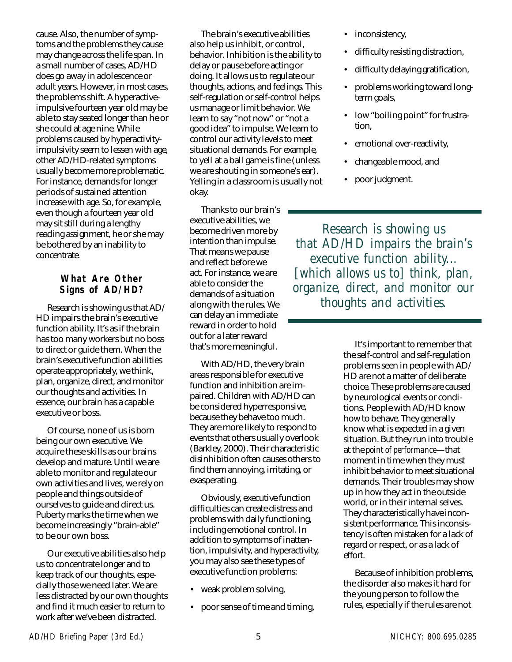cause. Also, the number of symptoms and the problems they cause may change across the life span. In a small number of cases, AD/HD does go away in adolescence or adult years. However, in most cases, the problems shift. A hyperactiveimpulsive fourteen year old may be able to stay seated longer than he or she could at age nine. While problems caused by hyperactivityimpulsivity seem to lessen with age, other AD/HD-related symptoms usually become more problematic. For instance, demands for longer periods of sustained attention increase with age. So, for example, even though a fourteen year old may sit still during a lengthy reading assignment, he or she may be bothered by an inability to concentrate.

# **What Are Other Signs of AD/HD?**

Research is showing us that AD/ HD impairs the brain's executive function ability. It's as if the brain has too many workers but no boss to direct or guide them. When the brain's executive function abilities operate appropriately, we think, plan, organize, direct, and monitor our thoughts and activities. In essence, our brain has a capable executive or boss.

Of course, none of us is born being our own executive. We acquire these skills as our brains develop and mature. Until we are able to monitor and regulate our own activities and lives, we rely on people and things outside of ourselves to guide and direct us. Puberty marks the time when we become increasingly "brain-able" to be our own boss.

Our executive abilities also help us to concentrate longer and to keep track of our thoughts, especially those we need later. We are less distracted by our own thoughts and find it much easier to return to work after we've been distracted.

The brain's executive abilities also help us inhibit, or control, behavior. Inhibition is the ability to delay or pause before acting or doing. It allows us to regulate our thoughts, actions, and feelings. This self-regulation or self-control helps us manage or limit behavior. We learn to say "not now" or "not a good idea" to impulse. We learn to control our activity levels to meet situational demands. For example, to yell at a ball game is fine (unless we are shouting in someone's ear). Yelling in a classroom is usually not okay.

Thanks to our brain's executive abilities, we become driven more by intention than impulse. That means we pause and reflect before we act. For instance, we are able to consider the demands of a situation along with the rules. We can delay an immediate reward in order to hold out for a later reward that's more meaningful.

With AD/HD, the very brain areas responsible for executive function and inhibition are impaired. Children with AD/HD can be considered hyperresponsive, because they behave too much. They are more likely to respond to events that others usually overlook (Barkley, 2000). Their characteristic disinhibition often causes others to find them annoying, irritating, or exasperating.

Obviously, executive function difficulties can create distress and problems with daily functioning, including emotional control. In addition to symptoms of inattention, impulsivity, and hyperactivity, you may also see these types of executive function problems:

- weak problem solving,
- poor sense of time and timing,
- inconsistency,
- difficulty resisting distraction,
- difficulty delaying gratification,
- problems working toward longterm goals,
- low "boiling point" for frustration,
- emotional over-reactivity,
- changeable mood, and
- poor judgment.

*Research is showing us that AD/HD impairs the brain's executive function ability... [which allows us to] think, plan, organize, direct, and monitor our thoughts and activities.*

> It's important to remember that the self-control and self-regulation problems seen in people with AD/ HD are not a matter of deliberate choice. These problems are caused by neurological events or conditions. People with AD/HD know how to behave. They generally know what is expected in a given situation. But they run into trouble at the *point of performance*—that moment in time when they must inhibit behavior to meet situational demands. Their troubles may show up in how they act in the outside world, or in their internal selves. They characteristically have inconsistent performance. This inconsistency is often mistaken for a lack of regard or respect, or as a lack of effort.

Because of inhibition problems, the disorder also makes it hard for the young person to follow the rules, especially if the rules are not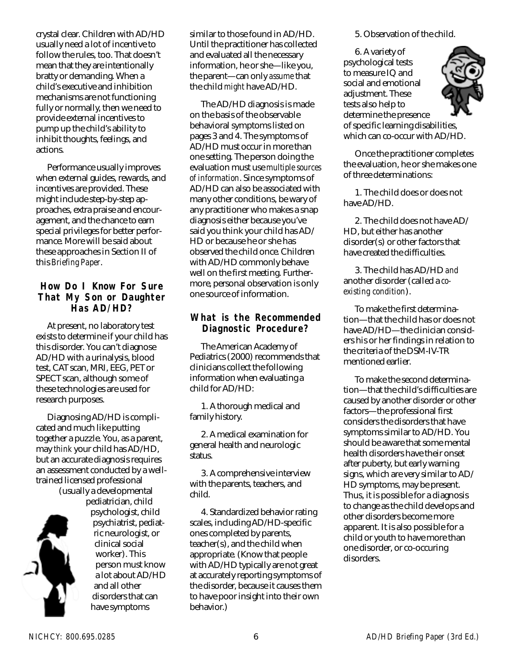crystal clear. Children with AD/HD usually need a lot of incentive to follow the rules, too. That doesn't mean that they are intentionally bratty or demanding. When a child's executive and inhibition mechanisms are not functioning fully or normally, then we need to provide external incentives to pump up the child's ability to inhibit thoughts, feelings, and actions.

Performance usually improves when external guides, rewards, and incentives are provided. These might include step-by-step approaches, extra praise and encouragement, and the chance to earn special privileges for better performance. More will be said about these approaches in Section II of this *Briefing Paper*.

# **How Do I Know For Sure That My Son or Daughter Has AD/HD?**

At present, no laboratory test exists to determine if your child has this disorder. You can't diagnose AD/HD with a urinalysis, blood test, CAT scan, MRI, EEG, PET or SPECT scan, although some of these technologies are used for research purposes.

Diagnosing AD/HD is complicated and much like putting together a puzzle. You, as a parent, may *think* your child has AD/HD, but an accurate diagnosis requires an assessment conducted by a welltrained licensed professional (usually a developmental



pediatrician, child psychologist, child psychiatrist, pediatric neurologist, or clinical social worker). This person must know a lot about AD/HD and all other disorders that can have symptoms

similar to those found in AD/HD. Until the practitioner has collected and evaluated all the necessary information, he or she—like you, the parent—can only *assume* that the child *might* have AD/HD.

The AD/HD diagnosis is made on the basis of the observable behavioral symptoms listed on pages 3 and 4. The symptoms of AD/HD must occur in more than one setting. The person doing the evaluation must use *multiple sources of information*. Since symptoms of AD/HD can also be associated with many other conditions, be wary of any practitioner who makes a snap diagnosis either because you've said you think your child has AD/ HD or because he or she has observed the child once. Children with AD/HD commonly behave well on the first meeting. Furthermore, personal observation is only one source of information.

# **What is the Recommended Diagnostic Procedure?**

The American Academy of Pediatrics (2000) recommends that clinicians collect the following information when evaluating a child for AD/HD:

1. A thorough medical and family history.

2. A medical examination for general health and neurologic status.

3. A comprehensive interview with the parents, teachers, and child.

4. Standardized behavior rating scales, including AD/HD-specific ones completed by parents, teacher(s), and the child when appropriate. (Know that people with AD/HD typically are not great at accurately reporting symptoms of the disorder, because it causes them to have poor insight into their own behavior.)

5. Observation of the child.

6. A variety of psychological tests to measure IQ and social and emotional adjustment. These tests also help to determine the presence of specific learning disabilities, which can co-occur with AD/HD.



Once the practitioner completes the evaluation, he or she makes one of three determinations:

1. The child does or does not have AD/HD.

2. The child does not have AD/ HD, but either has another disorder(s) or other factors that have created the difficulties.

3. The child has AD/HD *and* another disorder (called a *coexisting condition*).

To make the first determination—that the child has or does not have AD/HD—the clinician considers his or her findings in relation to the criteria of the DSM-IV-TR mentioned earlier.

To make the second determination—that the child's difficulties are caused by another disorder or other factors—the professional first considers the disorders that have symptoms similar to AD/HD. You should be aware that some mental health disorders have their onset after puberty, but early warning signs, which are very similar to AD/ HD symptoms, may be present. Thus, it is possible for a diagnosis to change as the child develops and other disorders become more apparent. It is also possible for a child or youth to have more than one disorder, or co-occuring disorders.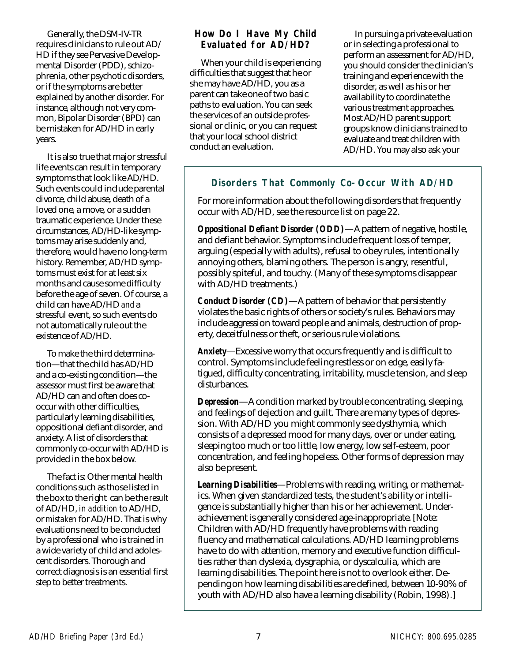Generally, the DSM-IV-TR requires clinicians to rule out AD/ HD if they see Pervasive Developmental Disorder (PDD), schizophrenia, other psychotic disorders, or if the symptoms are better explained by another disorder. For instance, although not very common, Bipolar Disorder (BPD) can be mistaken for AD/HD in early years.

It is also true that major stressful life events can result in temporary symptoms that look like AD/HD. Such events could include parental divorce, child abuse, death of a loved one, a move, or a sudden traumatic experience. Under these circumstances, AD/HD-like symptoms may arise suddenly and, therefore, would have no long-term history. Remember, AD/HD symptoms must exist for at least six months and cause some difficulty before the age of seven. Of course, a child can have AD/HD *and* a stressful event, so such events do not automatically rule out the existence of AD/HD.

To make the third determination—that the child has AD/HD and a co-existing condition—the assessor must first be aware that AD/HD can and often does cooccur with other difficulties, particularly learning disabilities, oppositional defiant disorder, and anxiety. A list of disorders that commonly co-occur with AD/HD is provided in the box below.

The fact is: Other mental health conditions such as those listed in the box to the right can be the *result* of AD/HD, *in addition* to AD/HD, or *mistaken* for AD/HD. That is why evaluations need to be conducted by a professional who is trained in a wide variety of child and adolescent disorders. Thorough and correct diagnosis is an essential first step to better treatments.

# **How Do I Have My Child Evaluated for AD/HD?**

When your child is experiencing difficulties that suggest that he or she may have AD/HD, you as a parent can take one of two basic paths to evaluation. You can seek the services of an outside professional or clinic, or you can request that your local school district conduct an evaluation.

In pursuing a private evaluation or in selecting a professional to perform an assessment for AD/HD, you should consider the clinician's training and experience with the disorder, as well as his or her availability to coordinate the various treatment approaches. Most AD/HD parent support groups know clinicians trained to evaluate and treat children with AD/HD. You may also ask your

# **Disorders That Commonly Co-Occur With AD/HD**

For more information about the following disorders that frequently occur with AD/HD, see the resource list on page 22.

*Oppositional Defiant Disorder (ODD)*—A pattern of negative, hostile, and defiant behavior. Symptoms include frequent loss of temper, arguing (especially with adults), refusal to obey rules, intentionally annoying others, blaming others. The person is angry, resentful, possibly spiteful, and touchy. (Many of these symptoms disappear with AD/HD treatments.)

*Conduct Disorder (CD)*—A pattern of behavior that persistently violates the basic rights of others or society's rules. Behaviors may include aggression toward people and animals, destruction of property, deceitfulness or theft, or serious rule violations.

*Anxiety*—Excessive worry that occurs frequently and is difficult to control. Symptoms include feeling restless or on edge, easily fatigued, difficulty concentrating, irritability, muscle tension, and sleep disturbances.

*Depression*—A condition marked by trouble concentrating, sleeping, and feelings of dejection and guilt. There are many types of depression. With AD/HD you might commonly see dysthymia, which consists of a depressed mood for many days, over or under eating, sleeping too much or too little, low energy, low self-esteem, poor concentration, and feeling hopeless. Other forms of depression may also be present.

*Learning Disabilities*—Problems with reading, writing, or mathematics. When given standardized tests, the student's ability or intelligence is substantially higher than his or her achievement. Underachievement is generally considered age-inappropriate. [Note: Children with AD/HD frequently have problems with reading fluency and mathematical calculations. AD/HD learning problems have to do with attention, memory and executive function difficulties rather than dyslexia, dysgraphia, or dyscalculia, which are learning disabilities. The point here is not to overlook either. Depending on how learning disabilities are defined, between 10-90% of youth with AD/HD also have a learning disability (Robin, 1998).]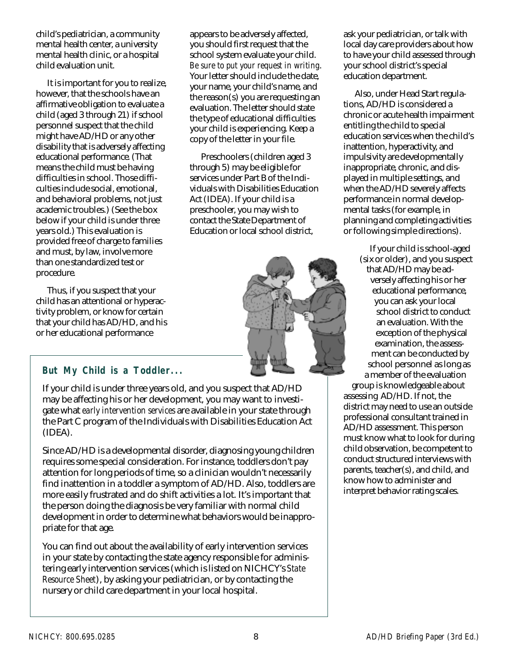child's pediatrician, a community mental health center, a university mental health clinic, or a hospital child evaluation unit.

It is important for you to realize, however, that the schools have an affirmative obligation to evaluate a child (aged 3 through 21) if school personnel suspect that the child might have AD/HD or any other disability that is adversely affecting educational performance. (That means the child must be having difficulties in school. Those difficulties include social, emotional, and behavioral problems, not just academic troubles.) (See the box below if your child is under three years old.) This evaluation is provided free of charge to families and must, by law, involve more than one standardized test or procedure.

Thus, if you suspect that your child has an attentional or hyperactivity problem, or know for certain that your child has AD/HD, and his or her educational performance

appears to be adversely affected, you should first request that the school system evaluate your child. *Be sure to put your request in writing*. Your letter should include the date, your name, your child's name, and the reason(s) you are requesting an evaluation. The letter should state the type of educational difficulties your child is experiencing. Keep a copy of the letter in your file.

Preschoolers (children aged 3 through 5) may be eligible for services under Part B of the Individuals with Disabilities Education Act (IDEA). If your child is a preschooler, you may wish to contact the State Department of Education or local school district,



ask your pediatrician, or talk with local day care providers about how to have your child assessed through your school district's special education department.

Also, under Head Start regulations, AD/HD is considered a chronic or acute health impairment entitling the child to special education services when the child's inattention, hyperactivity, and impulsivity are developmentally inappropriate, chronic, and displayed in multiple settings, and when the AD/HD severely affects performance in normal developmental tasks (for example, in planning and completing activities or following simple directions).

> If your child is school-aged (six or older), and you suspect that AD/HD may be adversely affecting his or her educational performance, you can ask your local school district to conduct an evaluation. With the exception of the physical examination, the assessment can be conducted by school personnel as long as a member of the evaluation

group is knowledgeable about assessing AD/HD. If not, the district may need to use an outside professional consultant trained in AD/HD assessment. This person must know what to look for during child observation, be competent to conduct structured interviews with parents, teacher(s), and child, and know how to administer and interpret behavior rating scales.

# **But My Child is a Toddler...**

If your child is under three years old, and you suspect that AD/HD may be affecting his or her development, you may want to investigate what *early intervention services* are available in your state through the Part C program of the Individuals with Disabilities Education Act (IDEA).

Since AD/HD is a developmental disorder, diagnosing young children requires some special consideration. For instance, toddlers don't pay attention for long periods of time, so a clinician wouldn't necessarily find inattention in a toddler a symptom of AD/HD. Also, toddlers are more easily frustrated and do shift activities a lot. It's important that the person doing the diagnosis be very familiar with normal child development in order to determine what behaviors would be inappropriate for that age.

You can find out about the availability of early intervention services in your state by contacting the state agency responsible for administering early intervention services (which is listed on NICHCY's *State Resource Sheet*), by asking your pediatrician, or by contacting the nursery or child care department in your local hospital.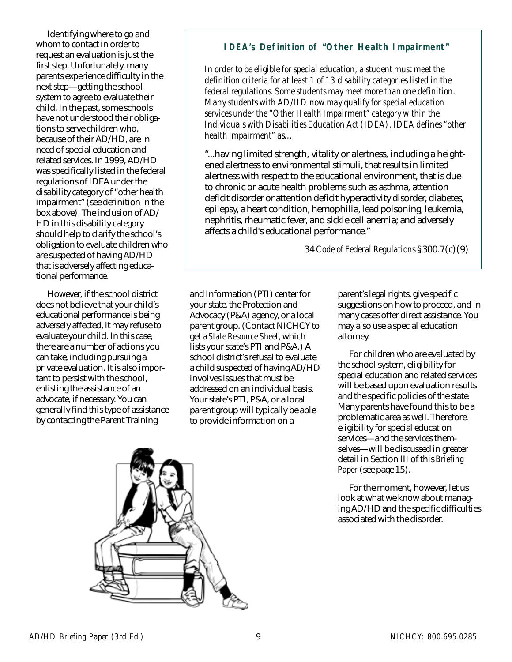Identifying where to go and whom to contact in order to request an evaluation is just the first step. Unfortunately, many parents experience difficulty in the next step—getting the school system to agree to evaluate their child. In the past, some schools have not understood their obligations to serve children who, because of their AD/HD, are in need of special education and related services. In 1999, AD/HD was specifically listed in the federal regulations of IDEA under the disability category of "other health impairment" (see definition in the box above). The inclusion of AD/ HD in this disability category should help to clarify the school's obligation to evaluate children who are suspected of having AD/HD that is adversely affecting educational performance.

However, if the school district does not believe that your child's educational performance is being adversely affected, it may refuse to evaluate your child. In this case, there are a number of actions you can take, including pursuing a private evaluation. It is also important to persist with the school, enlisting the assistance of an advocate, if necessary. You can generally find this type of assistance by contacting the Parent Training

# **IDEA's Definition of "Other Health Impairment"**

*In order to be eligible for special education, a student must meet the definition criteria for at least 1 of 13 disability categories listed in the federal regulations. Some students may meet more than one definition. Many students with AD/HD now may qualify for special education services under the "Other Health Impairment" category within the Individuals with Disabilities Education Act (IDEA). IDEA defines "other health impairment" as...*

"...having limited strength, vitality or alertness, including a heightened alertness to environmental stimuli, that results in limited alertness with respect to the educational environment, that is due to chronic or acute health problems such as asthma, attention deficit disorder or attention deficit hyperactivity disorder, diabetes, epilepsy, a heart condition, hemophilia, lead poisoning, leukemia, nephritis, rheumatic fever, and sickle cell anemia; and adversely affects a child's educational performance."

34 *Code of Federal Regulations* §300.7(c)(9)

and Information (PTI) center for your state, the Protection and Advocacy (P&A) agency, or a local parent group. (Contact NICHCY to get a *State Resource Sheet*, which lists your state's PTI and P&A.) A school district's refusal to evaluate a child suspected of having AD/HD involves issues that must be addressed on an individual basis. Your state's PTI, P&A, or a local parent group will typically be able to provide information on a

parent's legal rights, give specific suggestions on how to proceed, and in many cases offer direct assistance. You may also use a special education attorney.

For children who are evaluated by the school system, eligibility for special education and related services will be based upon evaluation results and the specific policies of the state. Many parents have found this to be a problematic area as well. Therefore, eligibility for special education services—and the services themselves—will be discussed in greater detail in Section III of this *Briefing Paper* (see page 15).

For the moment, however, let us look at what we know about managing AD/HD and the specific difficulties associated with the disorder.

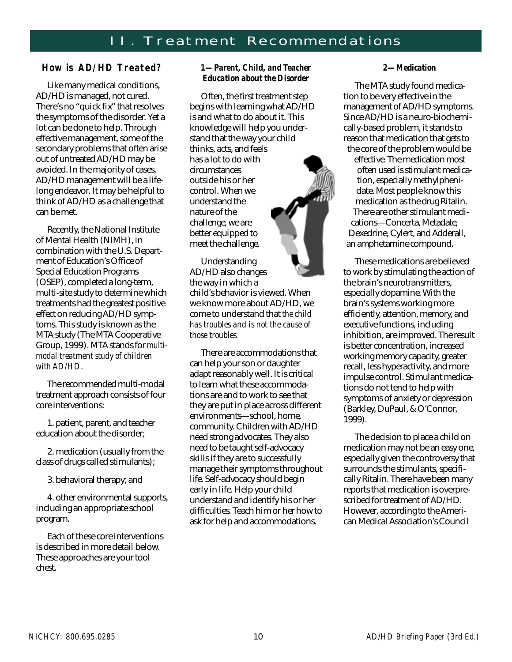# **How is AD/HD Treated?**

Like many medical conditions, AD/HD is managed, not cured. There's no "quick fix" that resolves the symptoms of the disorder. Yet a lot can be done to help. Through effective management, some of the secondary problems that often arise out of untreated AD/HD may be avoided. In the majority of cases, AD/HD management will be a lifelong endeavor. It may be helpful to think of AD/HD as a challenge that can be met.

Recently, the National Institute of Mental Health (NIMH), in combination with the U.S. Department of Education's Office of Special Education Programs (OSEP), completed a long-term, multi-site study to determine which treatments had the greatest positive effect on reducing AD/HD symptoms. This study is known as the MTA study (The MTA Cooperative Group, 1999). MTA stands for *multimodal treatment study of children with AD/HD*.

The recommended multi-modal treatment approach consists of four core interventions:

1. patient, parent, and teacher education about the disorder;

2. medication (usually from the class of drugs called stimulants);

3. behavioral therapy; and

4. other environmental supports, including an appropriate school program.

Each of these core interventions is described in more detail below. These approaches are your tool chest.

### *1—Parent, Child, and Teacher Education about the Disorder*

Often, the first treatment step begins with learning what AD/HD is and what to do about it. This knowledge will help you understand that the way your child thinks, acts, and feels has a lot to do with circumstances outside his or her control. When we understand the nature of the challenge, we are better equipped to meet the challenge.

Understanding AD/HD also changes the way in which a child's behavior is viewed. When we know more about AD/HD, we come to understand that *the child has troubles and is not the cause of those troubles.*

There are accommodations that can help your son or daughter adapt reasonably well. It is critical to learn what these accommodations are and to work to see that they are put in place across different environments—school, home, community. Children with AD/HD need strong advocates. They also need to be taught self-advocacy skills if they are to successfully manage their symptoms throughout life. Self-advocacy should begin early in life. Help your child understand and identify his or her difficulties. Teach him or her how to ask for help and accommodations.

### *2—Medication*

The MTA study found medication to be very effective in the management of AD/HD symptoms. Since AD/HD is a neuro-biochemically-based problem, it stands to reason that medication that gets to

the core of the problem would be effective. The medication most often used is stimulant medication, especially methylphenidate. Most people know this medication as the drug Ritalin. There are other stimulant medications—Concerta, Metadate, Dexedrine, Cylert, and Adderall, an amphetamine compound.

These medications are believed to work by stimulating the action of the brain's neurotransmitters, especially dopamine. With the brain's systems working more efficiently, attention, memory, and executive functions, including inhibition, are improved. The result is better concentration, increased working memory capacity, greater recall, less hyperactivity, and more impulse control. Stimulant medications do not tend to help with symptoms of anxiety or depression (Barkley, DuPaul, & O'Connor, 1999).

The decision to place a child on medication may not be an easy one, especially given the controversy that surrounds the stimulants, specifically Ritalin. There have been many reports that medication is overprescribed for treatment of AD/HD. However, according to the American Medical Association's Council

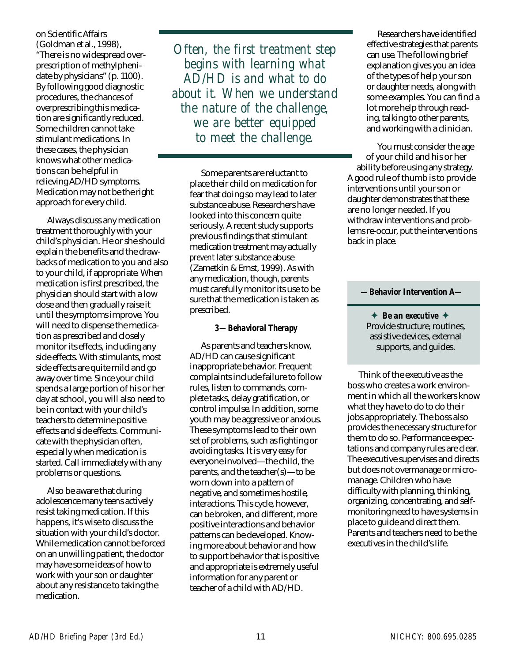on Scientific Affairs (Goldman et al., 1998), "There is no widespread overprescription of methylphenidate by physicians" (p. 1100). By following good diagnostic procedures, the chances of overprescribing this medication are significantly reduced. Some children cannot take stimulant medications. In these cases, the physician knows what other medications can be helpful in relieving AD/HD symptoms. Medication may not be the right approach for every child.

Always discuss any medication treatment thoroughly with your child's physician. He or she should explain the benefits and the drawbacks of medication to you and also to your child, if appropriate. When medication is first prescribed, the physician should start with a low dose and then gradually raise it until the symptoms improve. You will need to dispense the medication as prescribed and closely monitor its effects, including any side effects. With stimulants, most side effects are quite mild and go away over time. Since your child spends a large portion of his or her day at school, you will also need to be in contact with your child's teachers to determine positive effects and side effects. Communicate with the physician often, especially when medication is started. Call immediately with any problems or questions.

Also be aware that during adolescence many teens actively resist taking medication. If this happens, it's wise to discuss the situation with your child's doctor. While medication cannot be forced on an unwilling patient, the doctor may have some ideas of how to work with your son or daughter about any resistance to taking the medication.

*Often, the first treatment step begins with learning what AD/HD is and what to do about it. When we understand the nature of the challenge, we are better equipped to meet the challenge.*

> Some parents are reluctant to place their child on medication for fear that doing so may lead to later substance abuse. Researchers have looked into this concern quite seriously. A recent study supports previous findings that stimulant medication treatment may actually *prevent* later substance abuse (Zametkin & Ernst, 1999). As with any medication, though, parents must carefully monitor its use to be sure that the medication is taken as prescribed.

#### *3—Behavioral Therapy*

As parents and teachers know, AD/HD can cause significant inappropriate behavior. Frequent complaints include failure to follow rules, listen to commands, complete tasks, delay gratification, or control impulse. In addition, some youth may be aggressive or anxious. These symptoms lead to their own set of problems, such as fighting or avoiding tasks. It is very easy for everyone involved—the child, the parents, and the teacher(s)—to be worn down into a pattern of negative, and sometimes hostile, interactions. This cycle, however, can be broken, and different, more positive interactions and behavior patterns can be developed. Knowing more about behavior and how to support behavior that is positive and appropriate is extremely useful information for any parent or teacher of a child with AD/HD.

Researchers have identified effective strategies that parents can use. The following brief explanation gives you an idea of the types of help your son or daughter needs, along with some examples. You can find a lot more help through reading, talking to other parents, and working with a clinician.

You must consider the age of your child and his or her ability before using any strategy. A good rule of thumb is to provide interventions until your son or daughter demonstrates that these are no longer needed. If you withdraw interventions and problems re-occur, put the interventions back in place.

### *—Behavior Intervention A—*

✦ *Be an executive* ✦ Provide structure, routines, assistive devices, external supports, and guides.

Think of the executive as the boss who creates a work environment in which all the workers know what they have to do to do their jobs appropriately. The boss also provides the necessary structure for them to do so. Performance expectations and company rules are clear. The executive supervises and directs but does not overmanage or micromanage. Children who have difficulty with planning, thinking, organizing, concentrating, and selfmonitoring need to have systems in place to guide and direct them. Parents and teachers need to be the executives in the child's life.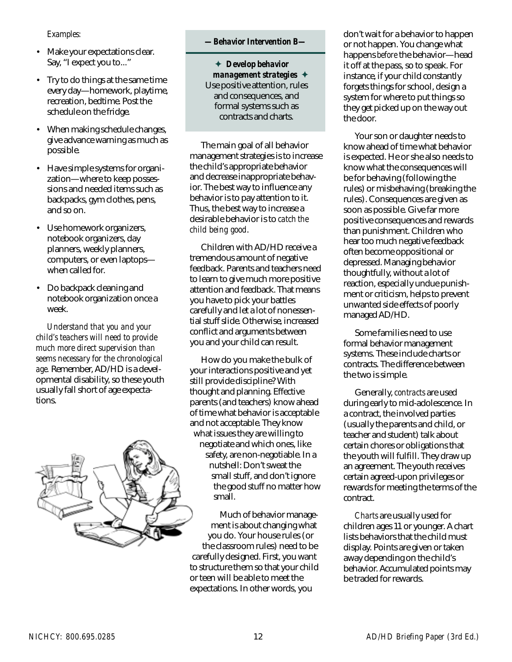*Examples:*

- Make your expectations clear. Say, "I expect you to..."
- Try to do things at the same time every day—homework, playtime, recreation, bedtime. Post the schedule on the fridge.
- When making schedule changes, give advance warning as much as possible.
- Have simple systems for organization—where to keep possessions and needed items such as backpacks, gym clothes, pens, and so on.
- Use homework organizers, notebook organizers, day planners, weekly planners, computers, or even laptops when called for.
- Do backpack cleaning and notebook organization once a week.

*Understand that you and your child's teachers will need to provide much more direct supervision than seems necessary for the chronological age.* Remember, AD/HD is a developmental disability, so these youth usually fall short of age expectations.



# *—Behavior Intervention B—*

 ✦ *Develop behavior management strategies* ✦ Use positive attention, rules and consequences, and formal systems such as contracts and charts.

The main goal of all behavior management strategies is to increase the child's appropriate behavior and decrease inappropriate behavior. The best way to influence any behavior is to pay attention to it. Thus, the best way to increase a desirable behavior is to *catch the child being good*.

Children with AD/HD receive a tremendous amount of negative feedback. Parents and teachers need to learn to give much more positive attention and feedback. That means you have to pick your battles carefully and let a lot of nonessential stuff slide. Otherwise, increased conflict and arguments between you and your child can result.

How do you make the bulk of your interactions positive and yet still provide discipline? With thought and planning. Effective parents (and teachers) know ahead of time what behavior is acceptable and not acceptable. They know what issues they are willing to negotiate and which ones, like safety, are non-negotiable. In a nutshell: Don't sweat the small stuff, and don't ignore the good stuff no matter how small.

Much of behavior management is about changing what you do. Your house rules (or the classroom rules) need to be carefully designed. First, you want to structure them so that your child or teen will be able to meet the expectations. In other words, you

don't wait for a behavior to happen or not happen. You change what happens *before* the behavior—head it off at the pass, so to speak. For instance, if your child constantly forgets things for school, design a system for where to put things so they get picked up on the way out the door.

Your son or daughter needs to know ahead of time what behavior is expected. He or she also needs to know what the consequences will be for behaving (following the rules) or misbehaving (breaking the rules). Consequences are given as soon as possible. Give far more positive consequences and rewards than punishment. Children who hear too much negative feedback often become oppositional or depressed. Managing behavior thoughtfully, without a lot of reaction, especially undue punishment or criticism, helps to prevent unwanted side effects of poorly managed AD/HD.

Some families need to use formal behavior management systems. These include charts or contracts. The difference between the two is simple.

Generally, *contracts* are used during early to mid-adolescence. In a contract, the involved parties (usually the parents and child, or teacher and student) talk about certain chores or obligations that the youth will fulfill. They draw up an agreement. The youth receives certain agreed-upon privileges or rewards for meeting the terms of the contract.

*Charts* are usually used for children ages 11 or younger. A chart lists behaviors that the child must display. Points are given or taken away depending on the child's behavior. Accumulated points may be traded for rewards.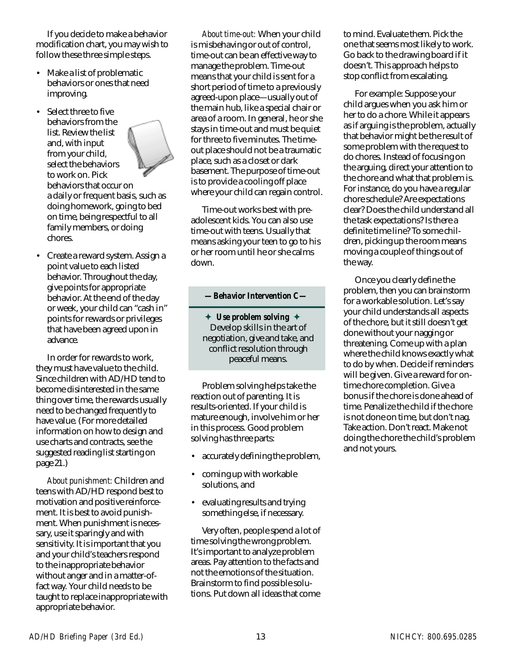If you decide to make a behavior modification chart, you may wish to follow these three simple steps.

- Make a list of problematic behaviors or ones that need improving.
- Select three to five behaviors from the list. Review the list and, with input from your child, select the behaviors to work on. Pick behaviors that occur on a daily or frequent basis, such as doing homework, going to bed on time, being respectful to all family members, or doing chores.
- Create a reward system. Assign a point value to each listed behavior. Throughout the day, give points for appropriate behavior. At the end of the day or week, your child can "cash in" points for rewards or privileges that have been agreed upon in advance.

In order for rewards to work, they must have value to the child. Since children with AD/HD tend to become disinterested in the same thing over time, the rewards usually need to be changed frequently to have value. (For more detailed information on how to design and use charts and contracts, see the suggested reading list starting on page 21.)

*About punishment:* Children and teens with AD/HD respond best to motivation and positive reinforcement. It is best to avoid punishment. When punishment is necessary, use it sparingly and with sensitivity. It is important that you and your child's teachers respond to the inappropriate behavior without anger and in a matter-offact way. Your child needs to be taught to replace inappropriate with appropriate behavior.

*About time-out:* When your child is misbehaving or out of control, time-out can be an effective way to manage the problem. Time-out means that your child is sent for a short period of time to a previously agreed-upon place—usually out of the main hub, like a special chair or area of a room. In general, he or she stays in time-out and must be quiet for three to five minutes. The timeout place should not be a traumatic place, such as a closet or dark basement. The purpose of time-out is to provide a cooling off place where your child can regain control.

Time-out works best with preadolescent kids. You can also use time-out with teens. Usually that means asking your teen to go to his or her room until he or she calms down.

### *—Behavior Intervention C—*

✦ *Use problem solving* ✦ Develop skills in the art of negotiation, give and take, and conflict resolution through peaceful means.

Problem solving helps take the reaction out of parenting. It is results-oriented. If your child is mature enough, involve him or her in this process. Good problem solving has three parts:

- accurately defining the problem,
- coming up with workable solutions, and
- evaluating results and trying something else, if necessary.

Very often, people spend a lot of time solving the wrong problem. It's important to analyze problem areas. Pay attention to the facts and not the emotions of the situation. Brainstorm to find possible solutions. Put down all ideas that come

to mind. Evaluate them. Pick the one that seems most likely to work. Go back to the drawing board if it doesn't. This approach helps to stop conflict from escalating.

For example: Suppose your child argues when you ask him or her to do a chore. While it appears as if arguing is the problem, actually that behavior might be the result of some problem with the request to do chores. Instead of focusing on the arguing, direct your attention to the chore and what that problem is. For instance, do you have a regular chore schedule? Are expectations clear? Does the child understand all the task expectations? Is there a definite time line? To some children, picking up the room means moving a couple of things out of the way.

Once you clearly define the problem, then you can brainstorm for a workable solution. Let's say your child understands all aspects of the chore, but it still doesn't get done without your nagging or threatening. Come up with a plan where the child knows exactly what to do by when. Decide if reminders will be given. Give a reward for ontime chore completion. Give a bonus if the chore is done ahead of time. Penalize the child if the chore is not done on time, but don't nag. Take action. Don't react. Make not doing the chore the child's problem and not yours.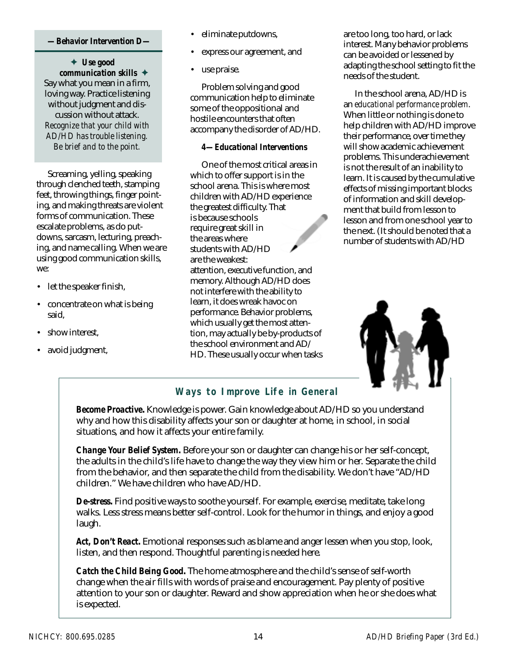### *—Behavior Intervention D—*

 ✦ *Use good communication skills* ✦ Say what you mean in a firm, loving way. Practice listening without judgment and discussion without attack. *Recognize that your child with AD/HD has trouble listening. Be brief and to the point.*

Screaming, yelling, speaking through clenched teeth, stamping feet, throwing things, finger pointing, and making threats are violent forms of communication. These escalate problems, as do putdowns, sarcasm, lecturing, preaching, and name calling. When we are using good communication skills, we:

- let the speaker finish,
- concentrate on what is being said,
- show interest,
- avoid judgment,
- eliminate putdowns,
- express our agreement, and
- use praise.

Problem solving and good communication help to eliminate some of the oppositional and hostile encounters that often accompany the disorder of AD/HD.

### *4—Educational Interventions*

One of the most critical areas in which to offer support is in the school arena. This is where most children with AD/HD experience the greatest difficulty. That is because schools require great skill in the areas where students with AD/HD are the weakest: attention, executive function, and memory. Although AD/HD does not interfere with the ability to learn, it does wreak havoc on performance. Behavior problems, which usually get the most attention, may actually be by-products of the school environment and AD/ HD. These usually occur when tasks are too long, too hard, or lack interest. Many behavior problems can be avoided or lessened by adapting the school setting to fit the needs of the student.

In the school arena, AD/HD is an *educational performance problem*. When little or nothing is done to help children with AD/HD improve their performance, over time they will show academic achievement problems. This underachievement is not the result of an inability to learn. It is caused by the cumulative effects of missing important blocks of information and skill development that build from lesson to lesson and from one school year to the next. (It should be noted that a number of students with AD/HD



# **Ways to Improve Life in General**

*Become Proactive***.** Knowledge is power. Gain knowledge about AD/HD so you understand why and how this disability affects your son or daughter at home, in school, in social situations, and how it affects your entire family.

*Change Your Belief System***.** Before your son or daughter can change his or her self-concept, the adults in the child's life have to change the way they view him or her. Separate the child from the behavior, and then separate the child from the disability. We don't have "AD/HD children." We have children who have AD/HD.

*De***-***stress***.** Find positive ways to soothe yourself. For example, exercise, meditate, take long walks. Less stress means better self-control. Look for the humor in things, and enjoy a good laugh.

*Act, Don't React***.** Emotional responses such as blame and anger lessen when you stop, look, listen, and then respond. Thoughtful parenting is needed here.

*Catch the Child Being Good***.** The home atmosphere and the child's sense of self-worth change when the air fills with words of praise and encouragement. Pay plenty of positive attention to your son or daughter. Reward and show appreciation when he or she does what is expected.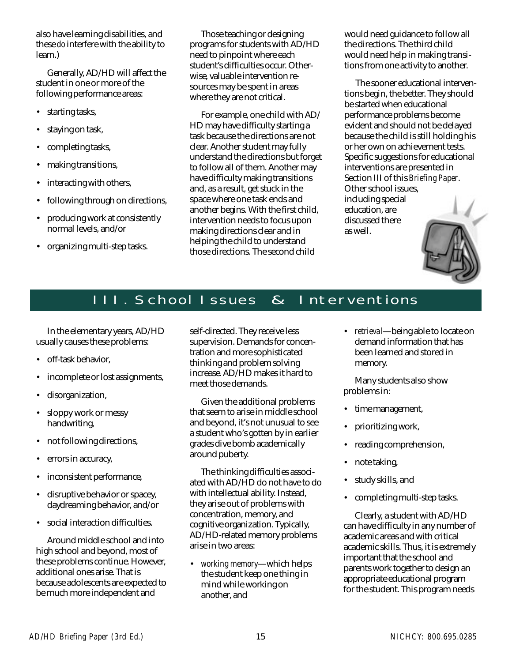also have learning disabilities, and these *do* interfere with the ability to learn.)

Generally, AD/HD will affect the student in one or more of the following performance areas:

- starting tasks,
- staying on task,
- completing tasks,
- making transitions,
- interacting with others,
- following through on directions,
- producing work at consistently normal levels, and/or
- organizing multi-step tasks.

Those teaching or designing programs for students with AD/HD need to pinpoint where each student's difficulties occur. Otherwise, valuable intervention resources may be spent in areas where they are not critical.

For example, one child with AD/ HD may have difficulty starting a task because the directions are not clear. Another student may fully understand the directions but forget to follow all of them. Another may have difficulty making transitions and, as a result, get stuck in the space where one task ends and another begins. With the first child, intervention needs to focus upon making directions clear and in helping the child to understand those directions. The second child

would need guidance to follow all the directions. The third child would need help in making transitions from one activity to another.

The sooner educational interventions begin, the better. They should be started when educational performance problems become evident and should not be delayed because the child is still holding his or her own on achievement tests. Specific suggestions for educational interventions are presented in Section III of this *Briefing Paper*. Other school issues, including special education, are discussed there as well.



# III. School Issues & Interventions

In the elementary years, AD/HD usually causes these problems:

- off-task behavior,
- incomplete or lost assignments,
- disorganization,
- sloppy work or messy handwriting,
- not following directions,
- errors in accuracy,
- inconsistent performance,
- disruptive behavior or spacey, daydreaming behavior, and/or
- social interaction difficulties.

Around middle school and into high school and beyond, most of these problems continue. However, additional ones arise. That is because adolescents are expected to be much more independent and

self-directed. They receive less supervision. Demands for concentration and more sophisticated thinking and problem solving increase. AD/HD makes it hard to meet those demands.

Given the additional problems that seem to arise in middle school and beyond, it's not unusual to see a student who's gotten by in earlier grades dive bomb academically around puberty.

The thinking difficulties associated with AD/HD do not have to do with intellectual ability. Instead, they arise out of problems with concentration, memory, and cognitive organization. Typically, AD/HD-related memory problems arise in two areas:

• *working memory*—which helps the student keep one thing in mind while working on another, and

• *retrieval*—being able to locate on demand information that has been learned and stored in memory.

Many students also show problems in:

- time management,
- prioritizing work,
- reading comprehension,
- note taking,
- study skills, and
- completing multi-step tasks.

Clearly, a student with AD/HD can have difficulty in any number of academic areas and with critical academic skills. Thus, it is extremely important that the school and parents work together to design an appropriate educational program for the student. This program needs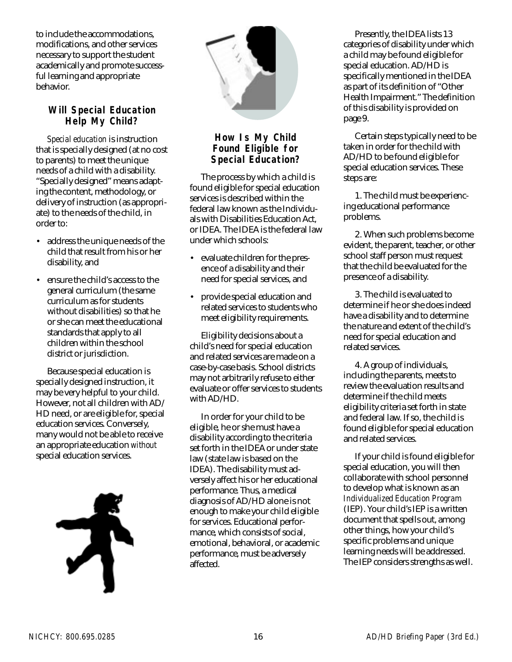to include the accommodations, modifications, and other services necessary to support the student academically and promote successful learning and appropriate behavior.

# **Will Special Education Help My Child?**

*Special education* is instruction that is specially designed (at no cost to parents) to meet the unique needs of a child with a disability. "Specially designed" means adapting the content, methodology, or delivery of instruction (as appropriate) to the needs of the child, in order to:

- address the unique needs of the child that result from his or her disability, and
- ensure the child's access to the general curriculum (the same curriculum as for students without disabilities) so that he or she can meet the educational standards that apply to all children within the school district or jurisdiction.

Because special education is specially designed instruction, it may be very helpful to your child. However, not all children with AD/ HD need, or are eligible for, special education services. Conversely, many would not be able to receive an appropriate education *without* special education services.





# **How Is My Child Found Eligible for Special Education?**

The process by which a child is found eligible for special education services is described within the federal law known as the Individuals with Disabilities Education Act, or IDEA. The IDEA is the federal law under which schools:

- evaluate children for the presence of a disability and their need for special services, and
- provide special education and related services to students who meet eligibility requirements.

Eligibility decisions about a child's need for special education and related services are made on a case-by-case basis. School districts may not arbitrarily refuse to either evaluate or offer services to students with AD/HD.

In order for your child to be eligible, he or she must have a disability according to the criteria set forth in the IDEA or under state law (state law is based on the IDEA). The disability must adversely affect his or her educational performance. Thus, a medical diagnosis of AD/HD alone is not enough to make your child eligible for services. Educational performance, which consists of social emotional, behavioral, or academic performance, must be adversely affected.

Presently, the IDEA lists 13 categories of disability under which a child may be found eligible for special education. AD/HD is specifically mentioned in the IDEA as part of its definition of "Other Health Impairment." The definition of this disability is provided on page 9.

Certain steps typically need to be taken in order for the child with AD/HD to be found eligible for special education services. These steps are:

1. The child must be experiencing educational performance problems.

2. When such problems become evident, the parent, teacher, or other school staff person must request that the child be evaluated for the presence of a disability.

3. The child is evaluated to determine if he or she does indeed have a disability and to determine the nature and extent of the child's need for special education and related services.

4. A group of individuals, including the parents, meets to review the evaluation results and determine if the child meets eligibility criteria set forth in state and federal law. If so, the child is found eligible for special education and related services.

If your child is found eligible for special education, you will then collaborate with school personnel to develop what is known as an *Individualized Education Program* (IEP). Your child's IEP is a written document that spells out, among other things, how your child's specific problems and unique learning needs will be addressed. The IEP considers strengths as well.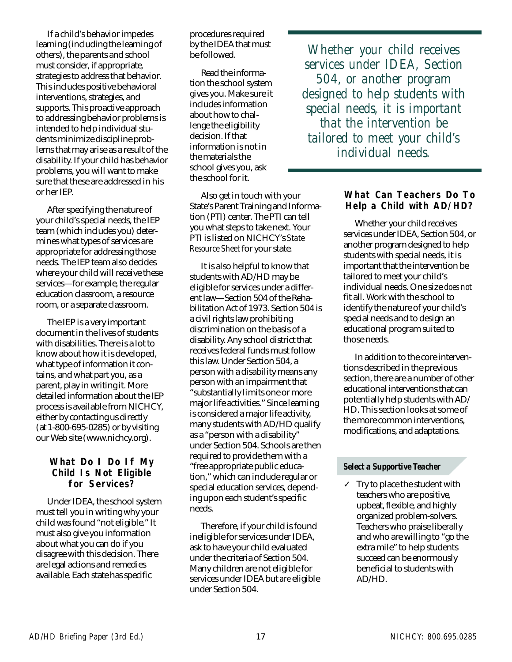If a child's behavior impedes learning (including the learning of others), the parents and school must consider, if appropriate, strategies to address that behavior. This includes positive behavioral interventions, strategies, and supports. This proactive approach to addressing behavior problems is intended to help individual students minimize discipline problems that may arise as a result of the disability. If your child has behavior problems, you will want to make sure that these are addressed in his or her IEP.

After specifying the nature of your child's special needs, the IEP team (which includes you) determines what types of services are appropriate for addressing those needs. The IEP team also decides where your child will receive these services—for example, the regular education classroom, a resource room, or a separate classroom.

The IEP is a very important document in the lives of students with disabilities. There is a lot to know about how it is developed, what type of information it contains, and what part you, as a parent, play in writing it. More detailed information about the IEP process is available from NICHCY, either by contacting us directly (at 1-800-695-0285) or by visiting our Web site (www.nichcy.org).

## **What Do I Do If My Child Is Not Eligible for Services?**

Under IDEA, the school system must tell you in writing why your child was found "not eligible." It must also give you information about what you can do if you disagree with this decision. There are legal actions and remedies available. Each state has specific

procedures required by the IDEA that must be followed.

Read the information the school system gives you. Make sure it includes information about how to challenge the eligibility decision. If that information is not in the materials the school gives you, ask the school for it.

Also get in touch with your State's Parent Training and Information (PTI) center. The PTI can tell you what steps to take next. Your PTI is listed on NICHCY's *State Resource Sheet* for your state.

It is also helpful to know that students with AD/HD may be eligible for services under a different law—Section 504 of the Rehabilitation Act of 1973. Section 504 is a civil rights law prohibiting discrimination on the basis of a disability. Any school district that receives federal funds must follow this law. Under Section 504, a person with a disability means any person with an impairment that "substantially limits one or more major life activities." Since learning is considered a major life activity, many students with AD/HD qualify as a "person with a disability" under Section 504. Schools are then required to provide them with a "free appropriate public education," which can include regular or special education services, depending upon each student's specific needs.

Therefore, if your child is found ineligible for services under IDEA, ask to have your child evaluated under the criteria of Section 504. Many children are not eligible for services under IDEA but *are* eligible under Section 504.

*Whether your child receives services under IDEA, Section 504, or another program designed to help students with special needs, it is important that the intervention be tailored to meet your child's individual needs.*

# **What Can Teachers Do To Help a Child with AD/HD?**

Whether your child receives services under IDEA, Section 504, or another program designed to help students with special needs, it is important that the intervention be tailored to meet your child's individual needs. One size *does not* fit all. Work with the school to identify the nature of your child's special needs and to design an educational program suited to those needs.

In addition to the core interventions described in the previous section, there are a number of other educational interventions that can potentially help students with AD/ HD. This section looks at some of the more common interventions, modifications, and adaptations.

### *Select a Supportive Teacher*

 $\checkmark$  Try to place the student with teachers who are positive, upbeat, flexible, and highly organized problem-solvers. Teachers who praise liberally and who are willing to "go the extra mile" to help students succeed can be enormously beneficial to students with AD/HD.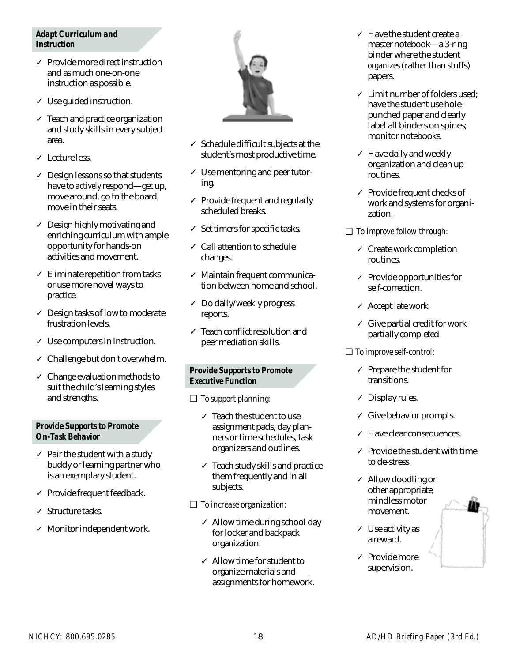### *Adapt Curriculum and Instruction*

- ✓ Provide more direct instruction and as much one-on-one instruction as possible.
- ✓ Use guided instruction.
- ✓ Teach and practice organization and study skills in every subject area.
- ✓ Lecture less.
- $\checkmark$  Design lessons so that students have to *actively* respond—get up, move around, go to the board, move in their seats.
- ✓ Design highly motivating and enriching curriculum with ample opportunity for hands-on activities and movement.
- $\angle$  Eliminate repetition from tasks or use more novel ways to practice.
- ✓ Design tasks of low to moderate frustration levels.
- $\checkmark$  Use computers in instruction.
- ✓ Challenge but don't overwhelm.
- ✓ Change evaluation methods to suit the child's learning styles and strengths.

### *Provide Supports to Promote On-Task Behavior*

- $\checkmark$  Pair the student with a study buddy or learning partner who is an exemplary student.
- ✓ Provide frequent feedback.
- ✓ Structure tasks.
- ✓ Monitor independent work.



- ✓ Schedule difficult subjects at the student's most productive time.
- ✓ Use mentoring and peer tutoring.
- $\checkmark$  Provide frequent and regularly scheduled breaks.
- $\checkmark$  Set timers for specific tasks.
- $\checkmark$  Call attention to schedule changes.
- ✓ Maintain frequent communication between home and school.
- ✓ Do daily/weekly progress reports.
- ✓ Teach conflict resolution and peer mediation skills.

### *Provide Supports to Promote Executive Function*

- ❑ *To support planning:*
	- $\checkmark$  Teach the student to use assignment pads, day planners or time schedules, task organizers and outlines.
	- $\checkmark$  Teach study skills and practice them frequently and in all subjects.
- ❑ *To increase organization:*
	- $\checkmark$  Allow time during school day for locker and backpack organization.
	- ✓ Allow time for student to organize materials and assignments for homework.
- $\checkmark$  Have the student create a master notebook—a 3-ring binder where the student *organizes* (rather than stuffs) papers.
- ✓ Limit number of folders used; have the student use holepunched paper and clearly label all binders on spines; monitor notebooks.
- $\checkmark$  Have daily and weekly organization and clean up routines.
- ✓ Provide frequent checks of work and systems for organization.
- ❑ *To improve follow through:*
	- $\checkmark$  Create work completion routines.
	- ✓ Provide opportunities for self-correction.
	- $\angle$  Accept late work.
	- $\checkmark$  Give partial credit for work partially completed.
- ❑ *To improve self-control:*
	- $\checkmark$  Prepare the student for transitions.
	- $\checkmark$  Display rules.
	- ✓ Give behavior prompts.
	- ✓ Have clear consequences.
	- $\checkmark$  Provide the student with time to de-stress.
	- ✓ Allow doodling or other appropriate, mindless motor movement.
	- $\checkmark$  Use activity as a reward.
	- ✓ Provide more supervision.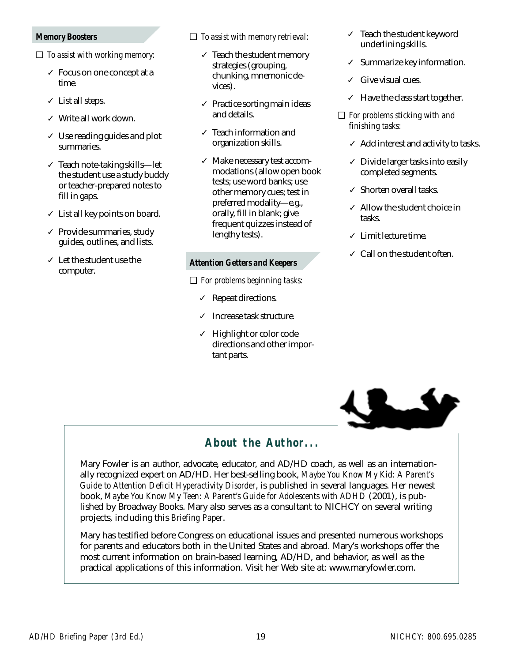### *Memory Boosters*

- ❑ *To assist with working memory:*
	- $\checkmark$  Focus on one concept at a time.
	- $\checkmark$  List all steps.
	- ✓ Write all work down.
	- $\checkmark$  Use reading guides and plot summaries.
	- $\checkmark$  Teach note-taking skills—let the student use a study buddy or teacher-prepared notes to fill in gaps.
	- $\checkmark$  List all key points on board.
	- ✓ Provide summaries, study guides, outlines, and lists.
	- $\checkmark$  Let the student use the computer.
- ❑ *To assist with memory retrieval:*
	- $\checkmark$  Teach the student memory strategies (grouping, chunking, mnemonic devices).
	- $\checkmark$  Practice sorting main ideas and details.
	- ✓ Teach information and organization skills.
	- ✓ Make necessary test accommodations (allow open book tests; use word banks; use other memory cues; test in preferred modality—e.g., orally, fill in blank; give frequent quizzes instead of lengthy tests).

### *Attention Getters and Keepers*

- ❑ *For problems beginning tasks:*
	- ✓ Repeat directions.
	- ✓ Increase task structure.
	- ✓ Highlight or color code directions and other important parts.
- $\checkmark$  Teach the student keyword underlining skills.
- ✓ Summarize key information.
- Give visual cues.
- $\checkmark$  Have the class start together.
- ❑ *For problems sticking with and finishing tasks:*
	- $\checkmark$  Add interest and activity to tasks.
	- $\checkmark$  Divide larger tasks into easily completed segments.
	- ✓ Shorten overall tasks.
	- ✓ Allow the student choice in tasks.
	- ✓ Limit lecture time.
	- $\checkmark$  Call on the student often.



# **About the Author...**

Mary Fowler is an author, advocate, educator, and AD/HD coach, as well as an internationally recognized expert on AD/HD. Her best-selling book, *Maybe You Know My Kid: A Parent's Guide to Attention Deficit Hyperactivity Disorder*, is published in several languages. Her newest book, *Maybe You Know My Teen: A Parent's Guide for Adolescents with ADHD* (2001), is published by Broadway Books. Mary also serves as a consultant to NICHCY on several writing projects, including this *Briefing Paper*.

Mary has testified before Congress on educational issues and presented numerous workshops for parents and educators both in the United States and abroad. Mary's workshops offer the most current information on brain-based learning, AD/HD, and behavior, as well as the practical applications of this information. Visit her Web site at: www.maryfowler.com.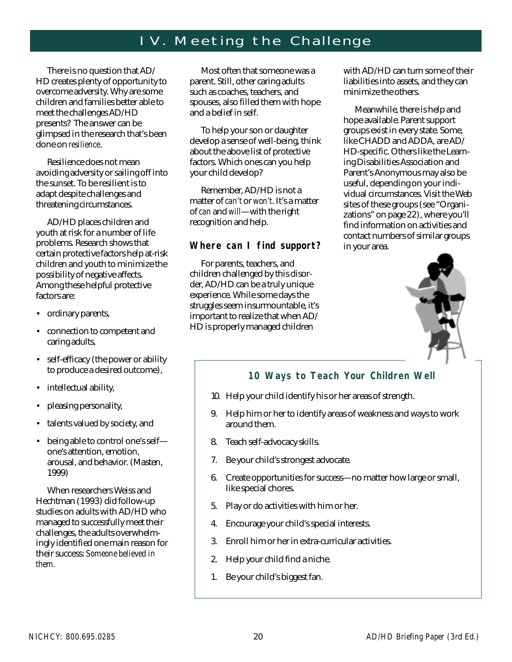# IV. Meeting the Challenge

There is no question that AD/ HD creates plenty of opportunity to overcome adversity. Why are some children and families better able to meet the challenges AD/HD presents? The answer can be glimpsed in the research that's been done on *resilience*.

Resilience does not mean avoiding adversity or sailing off into the sunset. To be resilient is to adapt despite challenges and threatening circumstances.

AD/HD places children and youth at risk for a number of life problems. Research shows that certain protective factors help at-risk children and youth to minimize the possibility of negative affects. Among these helpful protective factors are:

- ordinary parents,
- connection to competent and caring adults,
- self-efficacy (the power or ability to produce a desired outcome),
- intellectual ability,
- pleasing personality,
- talents valued by society, and
- being able to control one's selfone's attention, emotion, arousal, and behavior. (Masten, 1999)

When researchers Weiss and Hechtman (1993) did follow-up studies on adults with AD/HD who managed to successfully meet their challenges, the adults overwhelmingly identified one main reason for their success: *Someone believed in them.*

Most often that someone was a parent. Still, other caring adults such as coaches, teachers, and spouses, also filled them with hope and a belief in self.

To help your son or daughter develop a sense of well-being, think about the above list of protective factors. Which ones can you help your child develop?

Remember, AD/HD is not a matter of *can't* or *won't*. It's a matter of *can* and *will*—with the right recognition and help.

### **Where can I find support?**

For parents, teachers, and children challenged by this disorder, AD/HD can be a truly unique experience. While some days the struggles seem insurmountable, it's important to realize that when AD/ HD is properly managed children

with AD/HD can turn some of their liabilities into assets, and they can minimize the others.

Meanwhile, there is help and hope available. Parent support groups exist in every state. Some, like CHADD and ADDA, are AD/ HD-specific. Others like the Learning Disabilities Association and Parent's Anonymous may also be useful, depending on your individual circumstances. Visit the Web sites of these groups (see "Organizations" on page 22), where you'll find information on activities and contact numbers of similar groups in your area.



# **10 Ways to Teach Your Children Well**

- 10. Help your child identify his or her areas of strength.
- 9. Help him or her to identify areas of weakness and ways to work around them.
- 8. Teach self-advocacy skills.
- 7. Be your child's strongest advocate.
- 6. Create opportunities for success—no matter how large or small, like special chores.
- 5. Play or do activities with him or her.
- 4. Encourage your child's special interests.
- 3. Enroll him or her in extra-curricular activities.
- 2. Help your child find a niche.
- 1. Be your child's biggest fan.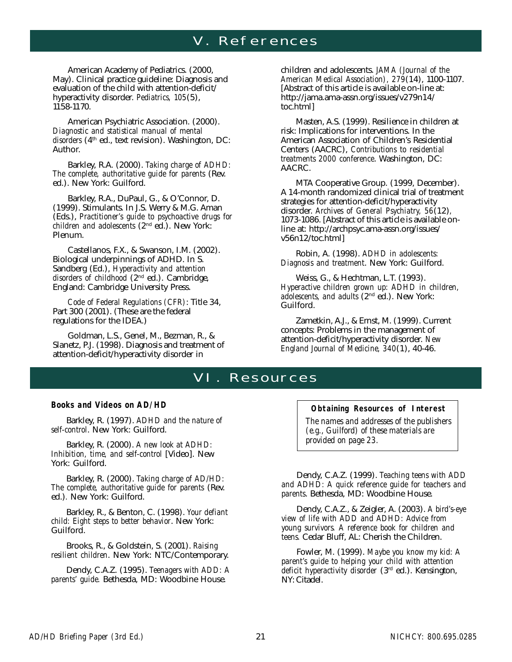# V. References

American Academy of Pediatrics. (2000, May). Clinical practice guideline: Diagnosis and evaluation of the child with attention-deficit/ hyperactivity disorder. *Pediatrics, 105*(5), 1158-1170.

American Psychiatric Association. (2000). *Diagnostic and statistical manual of mental* disorders (4<sup>th</sup> ed., text revision). Washington, DC: Author.

Barkley, R.A. (2000). *Taking charge of ADHD: The complete, authoritative guide for parents* (Rev. ed.). New York: Guilford.

Barkley, R.A., DuPaul, G., & O'Connor, D. (1999). Stimulants. In J.S. Werry & M.G. Aman (Eds.), *Practitioner's guide to psychoactive drugs for children and adolescents* (2nd ed.). New York: Plenum.

Castellanos, F.X., & Swanson, I.M. (2002). Biological underpinnings of ADHD. In S. Sandberg (Ed.), *Hyperactivity and attention disorders of childhood* (2nd ed.). Cambridge, England: Cambridge University Press.

*Code of Federal Regulations (CFR)*: Title 34, Part 300 (2001). (These are the federal regulations for the IDEA.)

Goldman, L.S., Genel, M., Bezman, R., & Slanetz, P.J. (1998). Diagnosis and treatment of attention-deficit/hyperactivity disorder in

children and adolescents. *JAMA (Journal of the American Medical Association), 279*(14), 1100-1107. [Abstract of this article is available on-line at: http://jama.ama-assn.org/issues/v279n14/ toc.html]

Masten, A.S. (1999). Resilience in children at risk: Implications for interventions. In the American Association of Children's Residential Centers (AACRC), *Contributions to residential treatments 2000 conference*. Washington, DC: AACRC.

MTA Cooperative Group. (1999, December). A 14-month randomized clinical trial of treatment strategies for attention-deficit/hyperactivity disorder. *Archives of General Psychiatry, 56*(12)*,* 1073-1086. [Abstract of this article is available online at: http://archpsyc.ama-assn.org/issues/ v56n12/toc.html]

Robin, A. (1998). *ADHD in adolescents: Diagnosis and treatment*. New York: Guilford.

Weiss, G., & Hechtman, L.T. (1993). *Hyperactive children grown up: ADHD in children, adolescents, and adults* (2nd ed.). New York: Guilford.

Zametkin, A.J., & Ernst, M. (1999). Current concepts: Problems in the management of attention-deficit/hyperactivity disorder. *New England Journal of Medicine, 340*(1), 40-46.

# VI. Resources

#### **Books and Videos on AD/HD**

Barkley, R. (1997). *ADHD and the nature of self-control*. New York: Guilford.

Barkley, R. (2000). *A new look at ADHD: Inhibition, time, and self-control* [Video]. New York: Guilford.

Barkley, R. (2000). *Taking charge of AD/HD: The complete, authoritative guide for parents* (Rev. ed.)*.* New York: Guilford.

Barkley, R., & Benton, C. (1998). *Your defiant child: Eight steps to better behavior*. New York: Guilford.

Brooks, R., & Goldstein, S. (2001). *Raising resilient children*. New York: NTC/Contemporary.

Dendy, C.A.Z. (1995). *Teenagers with ADD: A parents' guide.* Bethesda, MD: Woodbine House.

### **Obtaining Resources of Interest**

*The names and addresses of the publishers (e.g., Guilford) of these materials are provided on page 23.*

Dendy, C.A.Z. (1999). *Teaching teens with ADD and ADHD: A quick reference guide for teachers and parents*. Bethesda, MD: Woodbine House.

Dendy, C.A.Z., & Zeigler, A. (2003). *A bird's-eye view of life with ADD and ADHD: Advice from young survivors. A reference book for children and teens.* Cedar Bluff, AL: Cherish the Children.

Fowler, M. (1999). *Maybe you know my kid: A parent's guide to helping your child with attention deficit hyperactivity disorder* (3rd ed.). Kensington, NY: Citadel.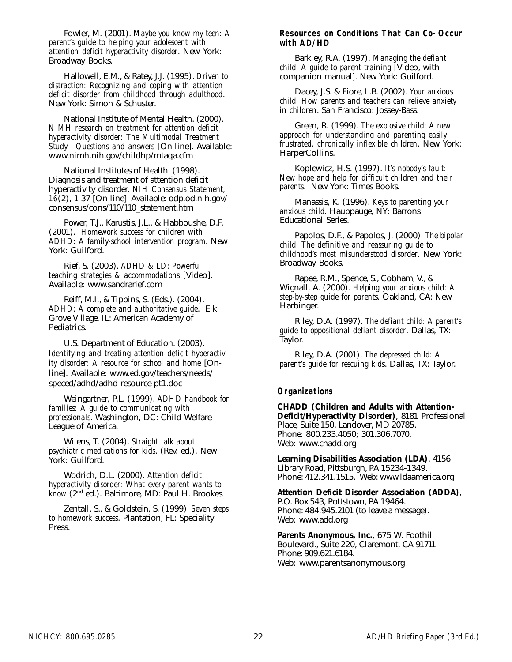Fowler, M. (2001). *Maybe you know my teen: A parent's guide to helping your adolescent with attention deficit hyperactivity disorder*. New York: Broadway Books.

Hallowell, E.M., & Ratey, J.J. (1995). *Driven to distraction: Recognizing and coping with attention deficit disorder from childhood through adulthood*. New York: Simon & Schuster.

National Institute of Mental Health. (2000). *NIMH research on treatment for attention deficit hyperactivity disorder: The Multimodal Treatment Study—Questions and answers* [On-line]. Available: www.nimh.nih.gov/childhp/mtaqa.cfm

National Institutes of Health. (1998). Diagnosis and treatment of attention deficit hyperactivity disorder. *NIH Consensus Statement, 16*(2), 1-37 [On-line]. Available: odp.od.nih.gov/ consensus/cons/110/110\_statement.htm

Power, T.J., Karustis, J.L., & Habboushe, D.F. (2001). *Homework success for children with ADHD: A family-school intervention program*. New York: Guilford.

Rief, S. (2003). *ADHD & LD: Powerful teaching strategies & accommodations* [Video]. Available: www.sandrarief.com

Reiff, M.I., & Tippins, S. (Eds.). (2004). *ADHD: A complete and authoritative guide*. Elk Grove Village, IL: American Academy of Pediatrics.

U.S. Department of Education. (2003). *Identifying and treating attention deficit hyperactivity disorder: A resource for school and home* [Online]. Available: www.ed.gov/teachers/needs/ speced/adhd/adhd-resource-pt1.doc

Weingartner, P.L. (1999). *ADHD handbook for families: A guide to communicating with professionals*. Washington, DC: Child Welfare League of America.

Wilens, T. (2004). *Straight talk about psychiatric medications for kids*. (Rev. ed.). New York: Guilford.

Wodrich, D.L. (2000). *Attention deficit hyperactivity disorder: What every parent wants to know* (2nd ed.). Baltimore, MD: Paul H. Brookes.

Zentall, S., & Goldstein, S. (1999). *Seven steps to homework success*. Plantation, FL: Speciality Press.

#### **Resources on Conditions That Can Co-Occur with AD/HD**

Barkley, R.A. (1997). *Managing the defiant child: A guide to parent training* [Video, with companion manual]. New York: Guilford.

Dacey, J.S. & Fiore, L.B. (2002). *Your anxious child: How parents and teachers can relieve anxiety in children*. San Francisco: Jossey-Bass.

Green, R. (1999). *The explosive child: A new approach for understanding and parenting easily frustrated, chronically inflexible children*. New York: HarperCollins.

Koplewicz, H.S. (1997). *It's nobody's fault: New hope and help for difficult children and their parents*. New York: Times Books.

Manassis, K. (1996). *Keys to parenting your anxious child*. Hauppauge, NY: Barrons Educational Series.

Papolos, D.F., & Papolos, J. (2000). *The bipolar child: The definitive and reassuring guide to childhood's most misunderstood disorder*. New York: Broadway Books.

Rapee, R.M., Spence, S., Cobham, V., & Wignall, A. (2000). *Helping your anxious child: A step-by-step guide for parents*. Oakland, CA: New Harbinger.

Riley, D.A. (1997). *The defiant child: A parent's guide to oppositional defiant disorder*. Dallas, TX: Taylor.

Riley, D.A. (2001). *The depressed child: A parent's guide for rescuing kids*. Dallas, TX: Taylor.

### **Organizations**

**CHADD (Children and Adults with Attention-Deficit/Hyperactivity Disorder)**, 8181 Professional Place, Suite 150, Landover, MD 20785. Phone: 800.233.4050; 301.306.7070. Web: www.chadd.org

**Learning Disabilities Association (LDA)**, 4156 Library Road, Pittsburgh, PA 15234-1349. Phone: 412.341.1515. Web: www.ldaamerica.org

**Attention Deficit Disorder Association (ADDA)**, P.O. Box 543, Pottstown, PA 19464. Phone: 484.945.2101 (to leave a message). Web: www.add.org

**Parents Anonymous, Inc.**, 675 W. Foothill Boulevard., Suite 220, Claremont, CA 91711. Phone: 909.621.6184. Web: www.parentsanonymous.org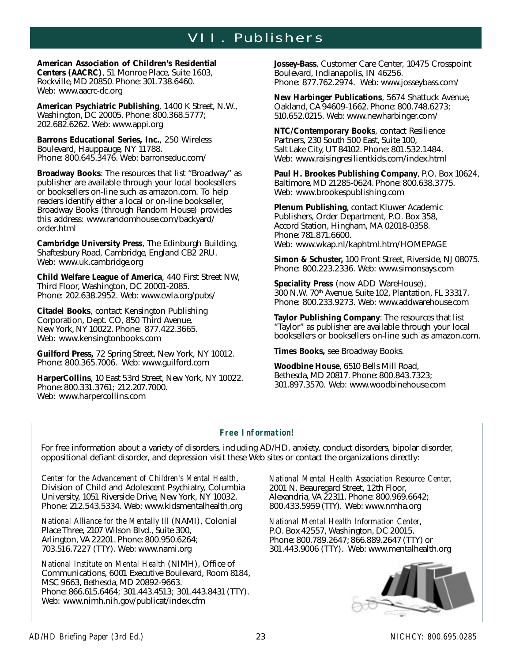# VII. Publishers

**American Association of Children's Residential Centers (AACRC)**, 51 Monroe Place, Suite 1603, Rockville, MD 20850. Phone: 301.738.6460. Web: www.aacrc-dc.org

**American Psychiatric Publishing**, 1400 K Street, N.W., Washington, DC 20005. Phone: 800.368.5777; 202.682.6262. Web: www.appi.org

**Barrons Educational Series, Inc.**, 250 Wireless Boulevard, Hauppauge, NY 11788. Phone: 800.645.3476. Web: barronseduc.com/

**Broadway Books**: The resources that list "Broadway" as publisher are available through your local booksellers or booksellers on-line such as amazon.com. To help readers identify either a local or on-line bookseller, Broadway Books (through Random House) provides this address: www.randomhouse.com/backyard/ order.html

**Cambridge University Press**, The Edinburgh Building, Shaftesbury Road, Cambridge, England CB2 2RU. Web: www.uk.cambridge.org

**Child Welfare League of America**, 440 First Street NW, Third Floor, Washington, DC 20001-2085. Phone: 202.638.2952. Web: www.cwla.org/pubs/

**Citadel Books**, contact Kensington Publishing Corporation, Dept. CO, 850 Third Avenue, New York, NY 10022. Phone: 877.422.3665. Web: www.kensingtonbooks.com

**Guilford Press,** 72 Spring Street, New York, NY 10012. Phone: 800.365.7006. Web: www.guilford.com

**HarperCollins**, 10 East 53rd Street, New York, NY 10022. Phone: 800.331.3761; 212.207.7000. Web: www.harpercollins.com

**Jossey-Bass**, Customer Care Center, 10475 Crosspoint Boulevard, Indianapolis, IN 46256. Phone: 877.762.2974. Web: www.josseybass.com/

**New Harbinger Publications**, 5674 Shattuck Avenue, Oakland, CA 94609-1662. Phone: 800.748.6273; 510.652.0215. Web: www.newharbinger.com/

**NTC/Contemporary Books**, contact Resilience Partners, 230 South 500 East, Suite 100, Salt Lake City, UT 84102. Phone: 801.532.1484. Web: www.raisingresilientkids.com/index.html

**Paul H. Brookes Publishing Company**, P.O. Box 10624, Baltimore, MD 21285-0624. Phone: 800.638.3775. Web: www.brookespublishing.com

**Plenum Publishing**, contact Kluwer Academic Publishers, Order Department, P.O. Box 358, Accord Station, Hingham, MA 02018-0358. Phone: 781.871.6600. Web: www.wkap.nl/kaphtml.htm/HOMEPAGE

**Simon & Schuster,** 100 Front Street, Riverside, NJ 08075. Phone: 800.223.2336. Web: www.simonsays.com

**Speciality Press** (now ADD WareHouse), 300 N.W. 70th Avenue, Suite 102, Plantation, FL 33317. Phone: 800.233.9273. Web: www.addwarehouse.com

**Taylor Publishing Company**: The resources that list "Taylor" as publisher are available through your local booksellers or booksellers on-line such as amazon.com.

**Times Books,** see Broadway Books.

**Woodbine House**, 6510 Bells Mill Road, Bethesda, MD 20817. Phone: 800.843.7323; 301.897.3570. Web: www.woodbinehouse.com

# **Free Information!**

For free information about a variety of disorders, including AD/HD, anxiety, conduct disorders, bipolar disorder, oppositional defiant disorder, and depression visit these Web sites or contact the organizations directly:

*Center for the Advancement of Children's Mental Health*, Division of Child and Adolescent Psychiatry, Columbia University, 1051 Riverside Drive, New York, NY 10032. Phone: 212.543.5334. Web: www.kidsmentalhealth.org

*National Alliance for the Mentally Ill* (NAMI), Colonial Place Three, 2107 Wilson Blvd., Suite 300, Arlington, VA 22201. Phone: 800.950.6264; 703.516.7227 (TTY). Web: www.nami.org

*National Institute on Mental Health* (NIMH), Office of Communications, 6001 Executive Boulevard, Room 8184, MSC 9663, Bethesda, MD 20892-9663. Phone: 866.615.6464; 301.443.4513; 301.443.8431 (TTY). Web: www.nimh.nih.gov/publicat/index.cfm

*National Mental Health Association Resource Center,* 2001 N. Beauregard Street, 12th Floor, Alexandria, VA 22311. Phone: 800.969.6642; 800.433.5959 (TTY). Web: www.nmha.org

*National Mental Health Information Center*, P.O. Box 42557, Washington, DC 20015. Phone: 800.789.2647; 866.889.2647 (TTY) or 301.443.9006 (TTY). Web: www.mentalhealth.org